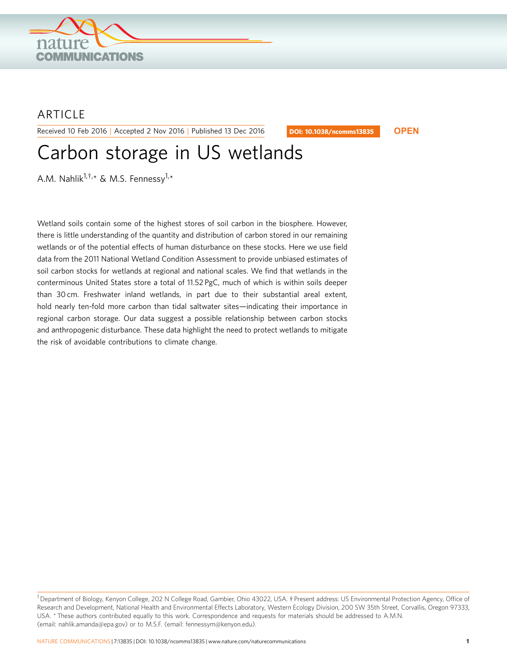

## **ARTICLE**

Received 10 Feb 2016 | Accepted 2 Nov 2016 | Published 13 Dec 2016

DOI: 10.1038/ncomms13835 **OPEN**

# Carbon storage in US wetlands

A.M. Nahlik<sup>1,†,</sup>\* & M.S. Fennessy<sup>1,</sup>\*

Wetland soils contain some of the highest stores of soil carbon in the biosphere. However, there is little understanding of the quantity and distribution of carbon stored in our remaining wetlands or of the potential effects of human disturbance on these stocks. Here we use field data from the 2011 National Wetland Condition Assessment to provide unbiased estimates of soil carbon stocks for wetlands at regional and national scales. We find that wetlands in the conterminous United States store a total of 11.52 PgC, much of which is within soils deeper than 30 cm. Freshwater inland wetlands, in part due to their substantial areal extent, hold nearly ten-fold more carbon than tidal saltwater sites—indicating their importance in regional carbon storage. Our data suggest a possible relationship between carbon stocks and anthropogenic disturbance. These data highlight the need to protect wetlands to mitigate the risk of avoidable contributions to climate change.

<sup>&</sup>lt;sup>1</sup> Department of Biology, Kenyon College, 202 N College Road, Gambier, Ohio 43022, USA.  $\dagger$  Present address: US Environmental Protection Agency, Office of Research and Development, National Health and Environmental Effects Laboratory, Western Ecology Division, 200 SW 35th Street, Corvallis, Oregon 97333, USA. \* These authors contributed equally to this work. Correspondence and requests for materials should be addressed to A.M.N. (email: nahlik.amanda@epa.gov) or to M.S.F. (email: fennessym@kenyon.edu).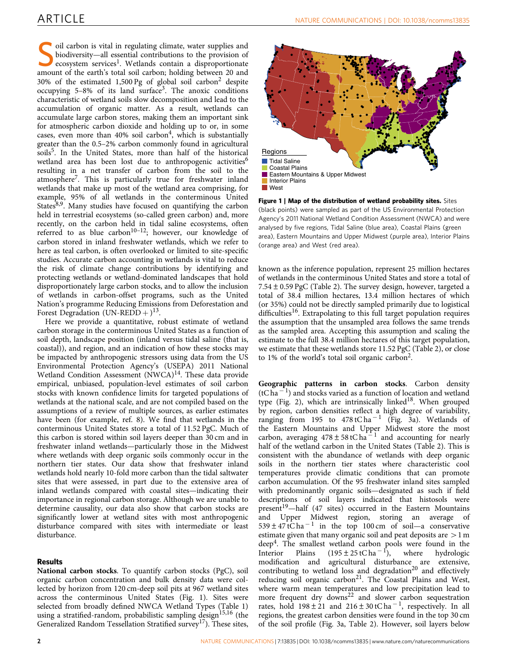<span id="page-1-0"></span>Soil carbon is vital in regulating climate, water supplies and<br>biodiversity—all essential contributions to the provision of<br>ecosystem services<sup>[1](#page-7-0)</sup>. Wetlands contain a disproportionate<br>amount of the earth's total soil carbon biodiversity—all essential contributions to the provision of amount of the earth's total soil carbon; holding between 20 and 30% of the estimated 1,500 Pg of global soil carbon<sup>[2](#page-7-0)</sup> despite occupying  $5-8\%$  of its land surface<sup>3</sup>. The anoxic conditions characteristic of wetland soils slow decomposition and lead to the accumulation of organic matter. As a result, wetlands can accumulate large carbon stores, making them an important sink for atmospheric carbon dioxide and holding up to or, in some cases, even more than  $40\%$  soil carbon<sup>4</sup>, which is substantially greater than the 0.5–2% carbon commonly found in agricultural soils<sup>5</sup>. In the United States, more than half of the historical wetland area has been lost due to anthropogenic activities<sup>6</sup> resulting in a net transfer of carbon from the soil to the atmosphere[7](#page-7-0). This is particularly true for freshwater inland wetlands that make up most of the wetland area comprising, for example, 95% of all wetlands in the conterminous United States $8,9$ . Many studies have focused on quantifying the carbon held in terrestrial ecosystems (so-called green carbon) and, more recently, on the carbon held in tidal saline ecosystems, often referred to as blue carbon<sup>10-12</sup>; however, our knowledge of carbon stored in inland freshwater wetlands, which we refer to here as teal carbon, is often overlooked or limited to site-specific studies. Accurate carbon accounting in wetlands is vital to reduce the risk of climate change contributions by identifying and protecting wetlands or wetland-dominated landscapes that hold disproportionately large carbon stocks, and to allow the inclusion of wetlands in carbon-offset programs, such as the United Nation's programme Reducing Emissions from Deforestation and Forest Degradation (UN-REDD +  $)^{13}$ .

Here we provide a quantitative, robust estimate of wetland carbon storage in the conterminous United States as a function of soil depth, landscape position (inland versus tidal saline (that is, coastal)), and region, and an indication of how these stocks may be impacted by anthropogenic stressors using data from the US Environmental Protection Agency's (USEPA) 2011 National Wetland Condition Assessment (NWCA)<sup>14</sup>. These data provide empirical, unbiased, population-level estimates of soil carbon stocks with known confidence limits for targeted populations of wetlands at the national scale, and are not compiled based on the assumptions of a review of multiple sources, as earlier estimates have been (for example, [ref. 8\)](#page-7-0). We find that wetlands in the conterminous United States store a total of 11.52 PgC. Much of this carbon is stored within soil layers deeper than 30 cm and in freshwater inland wetlands—particularly those in the Midwest where wetlands with deep organic soils commonly occur in the northern tier states. Our data show that freshwater inland wetlands hold nearly 10-fold more carbon than the tidal saltwater sites that were assessed, in part due to the extensive area of inland wetlands compared with coastal sites—indicating their importance in regional carbon storage. Although we are unable to determine causality, our data also show that carbon stocks are significantly lower at wetland sites with most anthropogenic disturbance compared with sites with intermediate or least disturbance.

### Results

National carbon stocks. To quantify carbon stocks (PgC), soil organic carbon concentration and bulk density data were collected by horizon from 120 cm-deep soil pits at 967 wetland sites across the conterminous United States (Fig. 1). Sites were selected from broadly defined NWCA Wetland Types [\(Table 1](#page-2-0)) using a stratified-random, probabilistic sampling design<sup>[15,16](#page-7-0)</sup> (the Generalized Random Tessellation Stratified survey<sup>[17](#page-7-0)</sup>). These sites,



Figure 1 | Map of the distribution of wetland probability sites. Sites (black points) were sampled as part of the US Environmental Protection Agency's 2011 National Wetland Condition Assessment (NWCA) and were analysed by five regions, Tidal Saline (blue area), Coastal Plains (green area), Eastern Mountains and Upper Midwest (purple area), Interior Plains (orange area) and West (red area).

known as the inference population, represent 25 million hectares of wetlands in the conterminous United States and store a total of 7.54±0.59 PgC ([Table 2](#page-2-0)). The survey design, however, targeted a total of 38.4 million hectares, 13.4 million hectares of which (or 35%) could not be directly sampled primarily due to logistical difficulties<sup>[16](#page-7-0)</sup>. Extrapolating to this full target population requires the assumption that the unsampled area follows the same trends as the sampled area. Accepting this assumption and scaling the estimate to the full 38.4 million hectares of this target population, we estimate that these wetlands store 11.52 PgC ([Table 2](#page-2-0)), or close to 1% of the world's total soil organic carbo[n2.](#page-7-0)

Geographic patterns in carbon stocks. Carbon density  $(tC ha<sup>-1</sup>)$  and stocks varied as a function of location and wetland type ([Fig. 2\)](#page-3-0), which are intrinsically linked $18$ . When grouped by region, carbon densities reflect a high degree of variability, ranging from 195 to  $478$ tC ha<sup>-1</sup> ([Fig. 3a](#page-4-0)). Wetlands of the Eastern Mountains and Upper Midwest store the most carbon, averaging  $478 \pm 58$  tC ha<sup>11</sup> and accounting for nearly half of the wetland carbon in the United States ([Table 2\)](#page-2-0). This is consistent with the abundance of wetlands with deep organic soils in the northern tier states where characteristic cool temperatures provide climatic conditions that can promote carbon accumulation. Of the 95 freshwater inland sites sampled with predominantly organic soils—designated as such if field descriptions of soil layers indicated that histosols were present<sup>19</sup>—half (47 sites) occurred in the Eastern Mountains and Upper Midwest region, storing an average of  $539 \pm 47$  tC ha<sup>-1</sup> in the top 100 cm of soil—a conservative estimate given that many organic soil and peat deposits are  $>1$  m  $\text{deep}^4$ . The smallest wetland carbon pools were found in the Interior Plains  $(195 \pm 25 \text{ tC ha}^{-1})$ , where hydrologic modification and agricultural disturbance are extensive, contributing to wetland loss and degradation<sup>[20](#page-7-0)</sup> and effectively reducing soil organic carbon<sup>[21](#page-7-0)</sup>. The Coastal Plains and West, where warm mean temperatures and low precipitation lead to more frequent dry downs<sup>[22](#page-7-0)</sup> and slower carbon sequestration rates, hold  $198 \pm 21$  and  $216 \pm 30$  tC ha<sup>-1</sup>, respectively. In all regions, the greatest carbon densities were found in the top 30 cm of the soil profile [\(Fig. 3a](#page-4-0), [Table 2\)](#page-2-0). However, soil layers below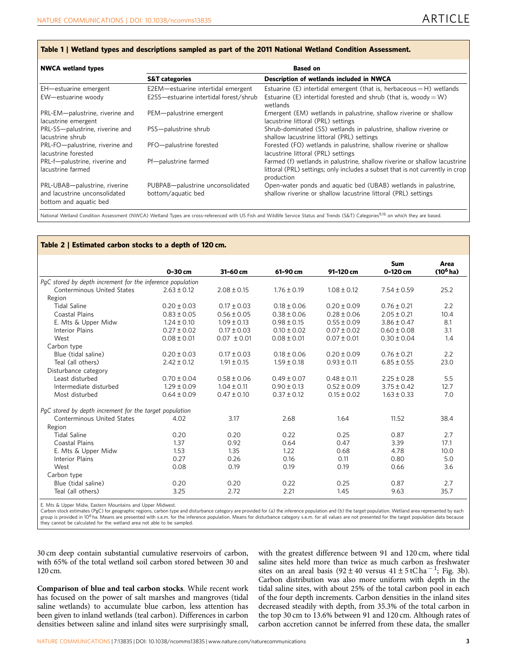#### <span id="page-2-0"></span>Table 1 | Wetland types and descriptions sampled as part of the 2011 National Wetland Condition Assessment.

| <b>NWCA wetland types</b>                                                                | <b>Based on</b>                                                              |                                                                                                                                                                          |  |  |
|------------------------------------------------------------------------------------------|------------------------------------------------------------------------------|--------------------------------------------------------------------------------------------------------------------------------------------------------------------------|--|--|
|                                                                                          | <b>S&amp;T categories</b>                                                    | Description of wetlands included in NWCA                                                                                                                                 |  |  |
| EH-estuarine emergent<br>EW-estuarine woody                                              | E2EM-estuarine intertidal emergent<br>E2SS-estuarine intertidal forest/shrub | Estuarine (E) intertidal emergent (that is, herbaceous = $H$ ) wetlands<br>Estuarine (E) intertidal forested and shrub (that is, woody = W)<br>wetlands                  |  |  |
| PRL-EM-palustrine, riverine and<br>lacustrine emergent                                   | PEM-palustrine emergent                                                      | Emergent (EM) wetlands in palustrine, shallow riverine or shallow<br>lacustrine littoral (PRL) settings                                                                  |  |  |
| PRL-SS-palustrine, riverine and<br>lacustrine shrub                                      | PSS-palustrine shrub                                                         | Shrub-dominated (SS) wetlands in palustrine, shallow riverine or<br>shallow lacustrine littoral (PRL) settings                                                           |  |  |
| PRL-FO-palustrine, riverine and<br>lacustrine forested                                   | PFO-palustrine forested                                                      | Forested (FO) wetlands in palustrine, shallow riverine or shallow<br>lacustrine littoral (PRL) settings                                                                  |  |  |
| PRL-f-palustrine, riverine and<br>lacustrine farmed                                      | Pf-palustrine farmed                                                         | Farmed (f) wetlands in palustrine, shallow riverine or shallow lacustrine<br>littoral (PRL) settings; only includes a subset that is not currently in crop<br>production |  |  |
| PRL-UBAB-palustrine, riverine<br>and lacustrine unconsolidated<br>bottom and aquatic bed | PUBPAB-palustrine unconsolidated<br>bottom/aquatic bed                       | Open-water ponds and aquatic bed (UBAB) wetlands in palustrine,<br>shallow riverine or shallow lacustrine littoral (PRL) settings                                        |  |  |

National Wetland Condition Assessment (NWCA) Wetland Types are cross-referenced with US Fish and Wildlife Service Status and Trends (S&T) Categories<sup>9,16</sup> on which they are based.

#### Table 2 | Estimated carbon stocks to a depth of 120 cm.

|                                                            |                 |                 |                 |                 | Sum             | Area        |
|------------------------------------------------------------|-----------------|-----------------|-----------------|-----------------|-----------------|-------------|
|                                                            | 0-30 cm         | 31-60 cm        | 61-90 cm        | 91-120 cm       | 0-120 cm        | $(10^6$ ha) |
| PqC stored by depth increment for the inference population |                 |                 |                 |                 |                 |             |
| Conterminous United States                                 | $2.63 \pm 0.12$ | $2.08 \pm 0.15$ | $1.76 \pm 0.19$ | $1.08 \pm 0.12$ | $7.54 \pm 0.59$ | 25.2        |
| Region                                                     |                 |                 |                 |                 |                 |             |
| <b>Tidal Saline</b>                                        | $0.20 \pm 0.03$ | $0.17 \pm 0.03$ | $0.18 \pm 0.06$ | $0.20 \pm 0.09$ | $0.76 \pm 0.21$ | 2.2         |
| Coastal Plains                                             | $0.83 \pm 0.05$ | $0.56 \pm 0.05$ | $0.38 \pm 0.06$ | $0.28 \pm 0.06$ | $2.05 \pm 0.21$ | 10.4        |
| E. Mts & Upper Midw                                        | $1.24 \pm 0.10$ | $1.09 \pm 0.13$ | $0.98 \pm 0.15$ | $0.55 \pm 0.09$ | $3.86 \pm 0.47$ | 8.1         |
| Interior Plains                                            | $0.27 \pm 0.02$ | $0.17 \pm 0.03$ | $0.10 \pm 0.02$ | $0.07 \pm 0.02$ | $0.60 \pm 0.08$ | 3.1         |
| West                                                       | $0.08 \pm 0.01$ | $0.07 \pm 0.01$ | $0.08 \pm 0.01$ | $0.07 \pm 0.01$ | $0.30 \pm 0.04$ | 1.4         |
| Carbon type                                                |                 |                 |                 |                 |                 |             |
| Blue (tidal saline)                                        | $0.20 \pm 0.03$ | $0.17 \pm 0.03$ | $0.18 \pm 0.06$ | $0.20 \pm 0.09$ | $0.76 \pm 0.21$ | 2.2         |
| Teal (all others)                                          | $2.42 \pm 0.12$ | $1.91 \pm 0.15$ | $1.59 \pm 0.18$ | $0.93 \pm 0.11$ | $6.85 \pm 0.55$ | 23.0        |
| Disturbance category                                       |                 |                 |                 |                 |                 |             |
| Least disturbed                                            | $0.70 \pm 0.04$ | $0.58 \pm 0.06$ | $0.49 \pm 0.07$ | $0.48 \pm 0.11$ | $2.25 \pm 0.28$ | 5.5         |
| Intermediate disturbed                                     | $1.29 \pm 0.09$ | $1.04 \pm 0.11$ | $0.90 \pm 0.13$ | $0.52 \pm 0.09$ | $3.75 \pm 0.42$ | 12.7        |
| Most disturbed                                             | $0.64 \pm 0.09$ | $0.47 \pm 0.10$ | $0.37 \pm 0.12$ | $0.15 \pm 0.02$ | $1.63 \pm 0.33$ | 7.0         |
| PgC stored by depth increment for the target population    |                 |                 |                 |                 |                 |             |
| Conterminous United States                                 | 4.02            | 3.17            | 2.68            | 1.64            | 11.52           | 38.4        |
| Region                                                     |                 |                 |                 |                 |                 |             |
| <b>Tidal Saline</b>                                        | 0.20            | 0.20            | 0.22            | 0.25            | 0.87            | 2.7         |
| Coastal Plains                                             | 1.37            | 0.92            | 0.64            | 0.47            | 3.39            | 17.1        |
| E. Mts & Upper Midw                                        | 1.53            | 1.35            | 1.22            | 0.68            | 4.78            | 10.0        |
| <b>Interior Plains</b>                                     | 0.27            | 0.26            | 0.16            | 0.11            | 0.80            | 5.0         |
| West                                                       | 0.08            | 0.19            | 0.19            | 0.19            | 0.66            | 3.6         |
| Carbon type                                                |                 |                 |                 |                 |                 |             |
| Blue (tidal saline)                                        | 0.20            | 0.20            | 0.22            | 0.25            | 0.87            | 2.7         |
| Teal (all others)                                          | 3.25            | 2.72            | 2.21            | 1.45            | 9.63            | 35.7        |

E. Mts & Upper Midw, Eastern Mountains and Upper Midwest.

Carbon stock estimates (PgC) for geographic regions, carbon type and disturbance category are provided for (a) the inference population and (b) the target population. Wetland area represented by each group is provided in 10<sup>6</sup> ha. Means are presented with s.e.m. for the inference population. Means for disturbance category s.e.m. for all values are not presented for the target population data because they cannot be calculated for the wetland area not able to be sampled.

30 cm deep contain substantial cumulative reservoirs of carbon, with 65% of the total wetland soil carbon stored between 30 and 120 cm.

Comparison of blue and teal carbon stocks. While recent work has focused on the power of salt marshes and mangroves (tidal saline wetlands) to accumulate blue carbon, less attention has been given to inland wetlands (teal carbon). Differences in carbon densities between saline and inland sites were surprisingly small,

with the greatest difference between 91 and 120 cm, where tidal saline sites held more than twice as much carbon as freshwater sites on an areal basis  $(92 \pm 40 \text{ versus } 41 \pm 5 \text{ tC ha}^{-1}; \text{ Fig. 3b})$  $(92 \pm 40 \text{ versus } 41 \pm 5 \text{ tC ha}^{-1}; \text{ Fig. 3b})$  $(92 \pm 40 \text{ versus } 41 \pm 5 \text{ tC ha}^{-1}; \text{ Fig. 3b})$ . Carbon distribution was also more uniform with depth in the tidal saline sites, with about 25% of the total carbon pool in each of the four depth increments. Carbon densities in the inland sites decreased steadily with depth, from 35.3% of the total carbon in the top 30 cm to 13.6% between 91 and 120 cm. Although rates of carbon accretion cannot be inferred from these data, the smaller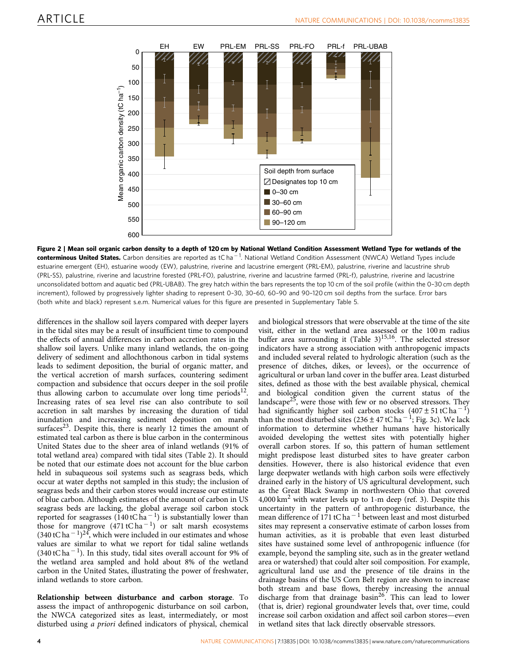<span id="page-3-0"></span>

Figure 2 | Mean soil organic carbon density to a depth of 120 cm by National Wetland Condition Assessment Wetland Type for wetlands of the **conterminous United States.** Carbon densities are reported as tCha<sup>–1</sup>. National Wetland Condition Assessment (NWCA) Wetland Types include estuarine emergent (EH), estuarine woody (EW), palustrine, riverine and lacustrine emergent (PRL-EM), palustrine, riverine and lacustrine shrub (PRL-SS), palustrine, riverine and lacustrine forested (PRL-FO), palustrine, riverine and lacustrine farmed (PRL-f), palustrine, riverine and lacustrine unconsolidated bottom and aquatic bed (PRL-UBAB). The grey hatch within the bars represents the top 10 cm of the soil profile (within the 0–30 cm depth increment), followed by progressively lighter shading to represent 0–30, 30–60, 60–90 and 90–120 cm soil depths from the surface. Error bars (both white and black) represent s.e.m. Numerical values for this figure are presented in Supplementary Table 5.

differences in the shallow soil layers compared with deeper layers in the tidal sites may be a result of insufficient time to compound the effects of annual differences in carbon accretion rates in the shallow soil layers. Unlike many inland wetlands, the on-going delivery of sediment and allochthonous carbon in tidal systems leads to sediment deposition, the burial of organic matter, and the vertical accretion of marsh surfaces, countering sediment compaction and subsidence that occurs deeper in the soil profile thus allowing carbon to accumulate over long time periods<sup>12</sup>. Increasing rates of sea level rise can also contribute to soil accretion in salt marshes by increasing the duration of tidal inundation and increasing sediment deposition on marsh surfaces<sup>23</sup>. Despite this, there is nearly 12 times the amount of estimated teal carbon as there is blue carbon in the conterminous United States due to the sheer area of inland wetlands (91% of total wetland area) compared with tidal sites ([Table 2](#page-2-0)). It should be noted that our estimate does not account for the blue carbon held in subaqueous soil systems such as seagrass beds, which occur at water depths not sampled in this study; the inclusion of seagrass beds and their carbon stores would increase our estimate of blue carbon. Although estimates of the amount of carbon in US seagrass beds are lacking, the global average soil carbon stock reported for seagrasses (140 tC ha<sup>-1</sup>) is substantially lower than those for mangrove  $(471 \text{ tC ha}^{-1})$  or salt marsh ecosystems  $(340 \text{ tC} \text{ ha}^{-1})^{24}$  $(340 \text{ tC} \text{ ha}^{-1})^{24}$  $(340 \text{ tC} \text{ ha}^{-1})^{24}$ , which were included in our estimates and whose values are similar to what we report for tidal saline wetlands  $(340 \text{ tC} \text{ ha}^{-1})$ . In this study, tidal sites overall account for 9% of the wetland area sampled and hold about 8% of the wetland carbon in the United States, illustrating the power of freshwater, inland wetlands to store carbon.

Relationship between disturbance and carbon storage. To assess the impact of anthropogenic disturbance on soil carbon, the NWCA categorized sites as least, intermediately, or most disturbed using a priori defined indicators of physical, chemical

and biological stressors that were observable at the time of the site visit, either in the wetland area assessed or the 100 m radius buffer area surrounding it (Table  $3$ )<sup>15,16</sup>. The selected stressor indicators have a strong association with anthropogenic impacts and included several related to hydrologic alteration (such as the presence of ditches, dikes, or levees), or the occurrence of agricultural or urban land cover in the buffer area. Least disturbed sites, defined as those with the best available physical, chemical and biological condition given the current status of the landscape<sup>25</sup>, were those with few or no observed stressors. They had significantly higher soil carbon stocks  $(407 \pm 51 \text{ tC ha}^{-1})$ than the most disturbed sites (236  $\pm$  47 tC ha<sup>-1</sup>; [Fig. 3c](#page-4-0)). We lack information to determine whether humans have historically avoided developing the wettest sites with potentially higher overall carbon stores. If so, this pattern of human settlement might predispose least disturbed sites to have greater carbon densities. However, there is also historical evidence that even large deepwater wetlands with high carbon soils were effectively drained early in the history of US agricultural development, such as the Great Black Swamp in northwestern Ohio that covered  $4,000 \text{ km}^2$  with water levels up to 1-m deep [\(ref. 3\)](#page-7-0). Despite this uncertainty in the pattern of anthropogenic disturbance, the mean difference of 171 tC ha<sup> $-1$ </sup> between least and most disturbed sites may represent a conservative estimate of carbon losses from human activities, as it is probable that even least disturbed sites have sustained some level of anthropogenic influence (for example, beyond the sampling site, such as in the greater wetland area or watershed) that could alter soil composition. For example, agricultural land use and the presence of tile drains in the drainage basins of the US Corn Belt region are shown to increase both stream and base flows, thereby increasing the annual discharge from that drainage basin<sup>26</sup>. This can lead to lower (that is, drier) regional groundwater levels that, over time, could increase soil carbon oxidation and affect soil carbon stores—even in wetland sites that lack directly observable stressors.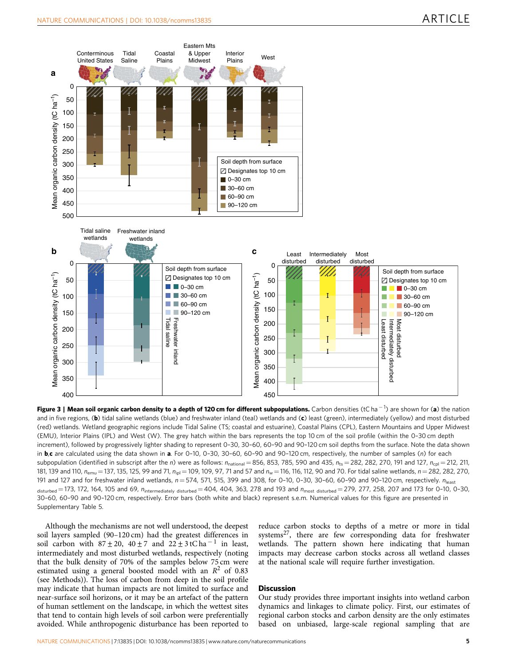<span id="page-4-0"></span>

Figure 3 | Mean soil organic carbon density to a depth of 120 cm for different subpopulations. Carbon densities (tC ha<sup>-1</sup>) are shown for (a) the nation and in five regions, (b) tidal saline wetlands (blue) and freshwater inland (teal) wetlands and (c) least (green), intermediately (yellow) and most disturbed (red) wetlands. Wetland geographic regions include Tidal Saline (TS; coastal and estuarine), Coastal Plains (CPL), Eastern Mountains and Upper Midwest (EMU), Interior Plains (IPL) and West (W). The grey hatch within the bars represents the top 10 cm of the soil profile (within the 0–30 cm depth increment), followed by progressively lighter shading to represent 0–30, 30–60, 60–90 and 90–120 cm soil depths from the surface. Note the data shown in  $b,c$  are calculated using the data shown in a. For 0-10, 0-30, 30-60, 60-90 and 90-120 cm, respectively, the number of samples (n) for each subpopulation (identified in subscript after the n) were as follows:  $n_{\text{national}} = 856$ , 853, 785, 590 and 435,  $n_{\text{ts}} = 282$ , 282, 270, 191 and 127,  $n_{\text{col}} = 212$ , 211, 181, 139 and 110,  $n_{\text{emu}} = 137$ , 135, 125, 99 and 71,  $n_{\text{ini}} = 109$ , 109, 97, 71 and 57 and  $n_w = 116$ , 116, 112, 90 and 70. For tidal saline wetlands,  $n = 282$ , 282, 270, 191 and 127 and for freshwater inland wetlands,  $n = 574$ , 571, 515, 399 and 308, for 0-10, 0-30, 30-60, 60-90 and 90-120 cm, respectively.  $n_{\text{least}}$  $_{\text{disturbed}}$  = 173, 172, 164, 105 and 69,  $n_{\text{intermediately}}$   $_{\text{disturbed}}$  = 404, 404, 363, 278 and 193 and  $n_{\text{most disturbed}}$  = 279, 277, 258, 207 and 173 for 0-10, 0-30, 30–60, 60–90 and 90–120 cm, respectively. Error bars (both white and black) represent s.e.m. Numerical values for this figure are presented in Supplementary Table 5.

Although the mechanisms are not well understood, the deepest soil layers sampled (90–120 cm) had the greatest differences in soil carbon with  $87 \pm 20$ ,  $40 \pm 7$  and  $22 \pm 3$  tC ha<sup>-1</sup> in least, intermediately and most disturbed wetlands, respectively (noting that the bulk density of 70% of the samples below 75 cm were estimated using a general boosted model with an  $R^2$  of 0.83 (see Methods)). The loss of carbon from deep in the soil profile may indicate that human impacts are not limited to surface and near-surface soil horizons, or it may be an artefact of the pattern of human settlement on the landscape, in which the wettest sites that tend to contain high levels of soil carbon were preferentially avoided. While anthropogenic disturbance has been reported to

reduce carbon stocks to depths of a metre or more in tidal systems<sup>[27](#page-7-0)</sup>, there are few corresponding data for freshwater wetlands. The pattern shown here indicating that human impacts may decrease carbon stocks across all wetland classes at the national scale will require further investigation.

### **Discussion**

Our study provides three important insights into wetland carbon dynamics and linkages to climate policy. First, our estimates of regional carbon stocks and carbon density are the only estimates based on unbiased, large-scale regional sampling that are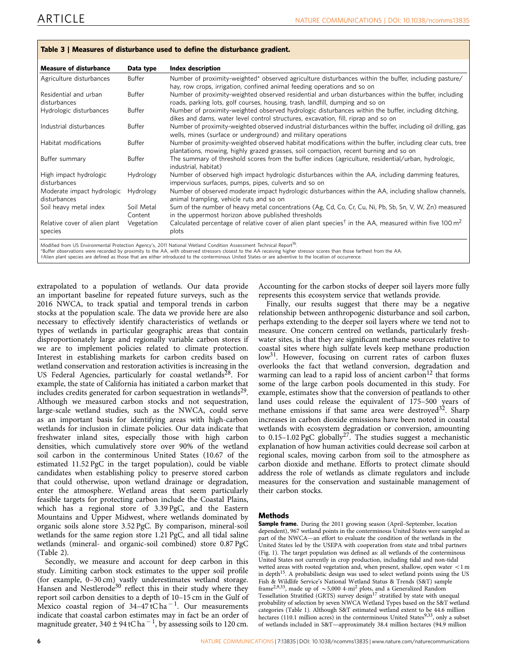<span id="page-5-0"></span>

| <b>Measure of disturbance</b>              | Data type             | <b>Index description</b>                                                                                                                                                                           |
|--------------------------------------------|-----------------------|----------------------------------------------------------------------------------------------------------------------------------------------------------------------------------------------------|
| Agriculture disturbances                   | Buffer                | Number of proximity-weighted* observed agriculture disturbances within the buffer, including pasture/<br>hay, row crops, irrigation, confined animal feeding operations and so on                  |
| Residential and urban<br>disturbances      | Buffer                | Number of proximity-weighted observed residential and urban disturbances within the buffer, including<br>roads, parking lots, golf courses, housing, trash, landfill, dumping and so on            |
| Hydrologic disturbances                    | Buffer                | Number of proximity-weighted observed hydrologic disturbances within the buffer, including ditching,<br>dikes and dams, water level control structures, excavation, fill, riprap and so on         |
| Industrial disturbances                    | Buffer                | Number of proximity-weighted observed industrial disturbances within the buffer, including oil drilling, gas<br>wells, mines (surface or underground) and military operations                      |
| Habitat modifications                      | Buffer                | Number of proximity-weighted observed habitat modifications within the buffer, including clear cuts, tree<br>plantations, mowing, highly grazed grasses, soil compaction, recent burning and so on |
| Buffer summary                             | Buffer                | The summary of threshold scores from the buffer indices (agriculture, residential/urban, hydrologic,<br>industrial, habitat)                                                                       |
| High impact hydrologic<br>disturbances     | Hydrology             | Number of observed high impact hydrologic disturbances within the AA, including damming features,<br>impervious surfaces, pumps, pipes, culverts and so on                                         |
| Moderate impact hydrologic<br>disturbances | Hydrology             | Number of observed moderate impact hydrologic disturbances within the AA, including shallow channels,<br>animal trampling, vehicle ruts and so on                                                  |
| Soil heavy metal index                     | Soil Metal<br>Content | Sum of the number of heavy metal concentrations (Ag, Cd, Co, Cr, Cu, Ni, Pb, Sb, Sn, V, W, Zn) measured<br>in the uppermost horizon above published thresholds                                     |
| Relative cover of alien plant<br>species   | Vegetation            | Calculated percentage of relative cover of alien plant species <sup>†</sup> in the AA, measured within five 100 m <sup>2</sup><br>plots                                                            |

Modified from US Environmental Protection Agency's, 2011 National Wetland Condition Assessment Technical Report<sup>16</sup>.

\*Buffer observations were recorded by proximity to the AA, with observed stressors closest to the AA receiving higher stressor scores than those farthest from the AA.

 $\dagger$ Alien plant species are defined as those that are either introduced to the conterminous United States or are adventive to the location of occurrence

extrapolated to a population of wetlands. Our data provide an important baseline for repeated future surveys, such as the 2016 NWCA, to track spatial and temporal trends in carbon stocks at the population scale. The data we provide here are also necessary to effectively identify characteristics of wetlands or types of wetlands in particular geographic areas that contain disproportionately large and regionally variable carbon stores if we are to implement policies related to climate protection. Interest in establishing markets for carbon credits based on wetland conservation and restoration activities is increasing in the US Federal Agencies, particularly for coastal wetlands<sup>[28](#page-7-0)</sup>. For example, the state of California has initiated a carbon market that includes credits generated for carbon sequestration in wetlands<sup>29</sup>. Although we measured carbon stocks and not sequestration, large-scale wetland studies, such as the NWCA, could serve as an important basis for identifying areas with high-carbon wetlands for inclusion in climate policies. Our data indicate that freshwater inland sites, especially those with high carbon densities, which cumulatively store over 90% of the wetland soil carbon in the conterminous United States (10.67 of the estimated 11.52 PgC in the target population), could be viable candidates when establishing policy to preserve stored carbon that could otherwise, upon wetland drainage or degradation, enter the atmosphere. Wetland areas that seem particularly feasible targets for protecting carbon include the Coastal Plains, which has a regional store of 3.39 PgC, and the Eastern Mountains and Upper Midwest, where wetlands dominated by organic soils alone store 3.52 PgC. By comparison, mineral-soil wetlands for the same region store 1.21 PgC, and all tidal saline wetlands (mineral- and organic-soil combined) store 0.87 PgC ([Table 2\)](#page-2-0).

Secondly, we measure and account for deep carbon in this study. Limiting carbon stock estimates to the upper soil profile (for example, 0–30 cm) vastly underestimates wetland storage. Hansen and Nestlerode<sup>[30](#page-7-0)</sup> reflect this in their study where they report soil carbon densities to a depth of 10–15 cm in the Gulf of Mexico coastal region of  $34-47$ tCha<sup>-1</sup>. Our measurements indicate that coastal carbon estimates may in fact be an order of magnitude greater, 340  $\pm$  94 tC ha  $^{-1}$ , by assessing soils to 120 cm.

Accounting for the carbon stocks of deeper soil layers more fully represents this ecosystem service that wetlands provide.

Finally, our results suggest that there may be a negative relationship between anthropogenic disturbance and soil carbon, perhaps extending to the deeper soil layers where we tend not to measure. One concern centred on wetlands, particularly freshwater sites, is that they are significant methane sources relative to coastal sites where high sulfate levels keep methane production low<sup>31</sup>. However, focusing on current rates of carbon fluxes overlooks the fact that wetland conversion, degradation and warming can lead to a rapid loss of ancient carbon<sup>12</sup> that forms some of the large carbon pools documented in this study. For example, estimates show that the conversion of peatlands to other land uses could release the equivalent of 175–500 years of methane emissions if that same area were destroyed<sup>32</sup>. Sharp increases in carbon dioxide emissions have been noted in coastal wetlands with ecosystem degradation or conversion, amounting to  $0.15-1.02$  PgC globally<sup>[27](#page-7-0)</sup>. The studies suggest a mechanistic explanation of how human activities could decrease soil carbon at regional scales, moving carbon from soil to the atmosphere as carbon dioxide and methane. Efforts to protect climate should address the role of wetlands as climate regulators and include measures for the conservation and sustainable management of their carbon stocks.

#### Methods

Sample frame. During the 2011 growing season (April-September, location dependent), 967 wetland points in the conterminous United States were sampled as part of the NWCA—an effort to evaluate the condition of the wetlands in the United States led by the USEPA with cooperation from state and tribal partners [\(Fig. 1](#page-1-0)). The target population was defined as: all wetlands of the conterminous United States not currently in crop production, including tidal and non-tidal wetted areas with rooted vegetation and, when present, shallow, open water  $<$  1 m in depth<sup>15</sup>. A probabilistic design was used to select wetland points using the US Fish & Wildlife Service's National Wetland Status & Trends (S&T) sample frame<sup>[2,9,33](#page-7-0)</sup>, made up of  $\sim$  5,000 4-mi<sup>2</sup> plots, and a Generalized Random Tessellation Stratified (GRTS) survey design<sup>[17](#page-7-0)</sup> stratified by state with unequal probability of selection by seven NWCA Wetland Types based on the S&T wetland categories [\(Table 1\)](#page-2-0). Although S&T estimated wetland extent to be 44.6 million hectares (110.1 million acres) in the conterminous United States<sup>[9,33](#page-7-0)</sup>, only a subset of wetlands included in S&T—approximately 38.4 million hectares (94.9 million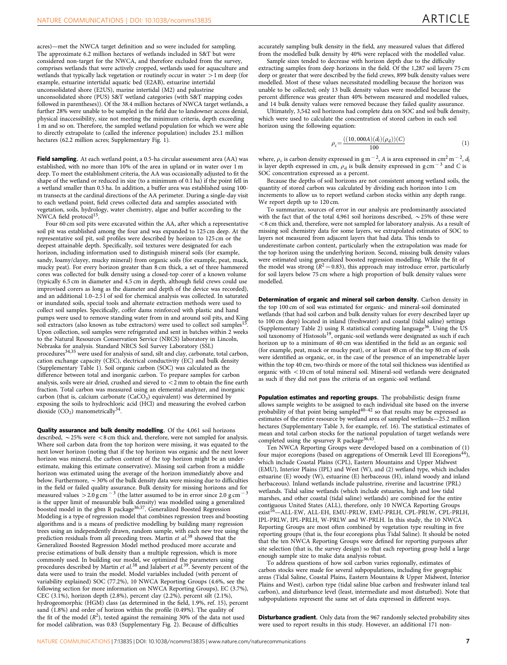acres)—met the NWCA target definition and so were included for sampling. The approximate 6.2 million hectares of wetlands included in S&T but were considered non-target for the NWCA, and therefore excluded from the survey, comprises wetlands that were actively cropped, wetlands used for aquaculture and wetlands that typically lack vegetation or routinely occur in water  $>1$  m deep (for example, estuarine intertidal aquatic bed (E2AB), estuarine intertidal unconsolidated shore (E2US), marine intertidal (M2) and palustrine unconsolidated shore (PUS) S&T wetland categories (with S&T mapping codes followed in parentheses)). Of the 38.4 million hectares of NWCA target wetlands, a further 28% were unable to be sampled in the field due to landowner access denial, physical inaccessibility, size not meeting the minimum criteria, depth exceeding 1 m and so on. Therefore, the sampled wetland population for which we were able to directly extrapolate to (called the inference population) includes 25.1 million hectares (62.2 million acres; Supplementary Fig. 1).

Field sampling. At each wetland point, a 0.5-ha circular assessment area (AA) was established, with no more than 10% of the area in upland or in water over 1 m deep. To meet the establishment criteria, the AA was occasionally adjusted to fit the shape of the wetland or reduced in size (to a minimum of 0.1 ha) if the point fell in a wetland smaller than 0.5 ha. In addition, a buffer area was established using 100 m transects at the cardinal directions of the AA perimeter. During a single-day visit to each wetland point, field crews collected data and samples associated with vegetation, soils, hydrology, water chemistry, algae and buffer according to the NWCA field protocol<sup>[15](#page-7-0)</sup>

Four 60 cm soil pits were excavated within the AA, after which a representative soil pit was established among the four and was expanded to 125 cm deep. At the representative soil pit, soil profiles were described by horizon to 125 cm or the deepest attainable depth. Specifically, soil textures were designated for each horizon, including information used to distinguish mineral soils (for example, sandy, loamy/clayey, mucky mineral) from organic soils (for example, peat, muck, mucky peat). For every horizon greater than 8 cm thick, a set of three hammered cores was collected for bulk density using a closed-top corer of a known volume (typically 6.5 cm in diameter and 4.5 cm in depth, although field crews could use improvised corers as long as the diameter and depth of the device was recorded), and an additional 1.0–2.5 l of soil for chemical analysis was collected. In saturated or inundated soils, special tools and alternate extraction methods were used to collect soil samples. Specifically, coffer dams reinforced with plastic and hand pumps were used to remove standing water from in and around soil pits, and King soil extractors (also known as tube extractors) were used to collect soil samples<sup>[15](#page-7-0)</sup> Upon collection, soil samples were refrigerated and sent in batches within 2 weeks to the Natural Resources Conservation Service (NRCS) laboratory in Lincoln, Nebraska for analysis. Standard NRCS Soil Survey Laboratory (SSL) procedures<sup>[34,35](#page-7-0)</sup> were used for analysis of sand, silt and clay, carbonate, total carbon, cation exchange capacity (CEC), electrical conductivity (EC) and bulk density (Supplementary Table 1). Soil organic carbon (SOC) was calculated as the difference between total and inorganic carbon. To prepare samples for carbon analysis, soils were air dried, crushed and sieved to  $<$  2 mm to obtain the fine earth fraction. Total carbon was measured using an elemental analyzer, and inorganic carbon (that is, calcium carbonate  $(CaCO<sub>3</sub>)$  equivalent) was determined by exposing the soils to hydrochloric acid (HCl) and measuring the evolved carbon dioxide  $(CO_2)$  manometrically<sup>[34](#page-7-0)</sup>.

Quality assurance and bulk density modelling. Of the 4,061 soil horizons described,  $\sim$  25% were  $<$  8 cm thick and, therefore, were not sampled for analysis. Where soil carbon data from the top horizon were missing, it was equated to the next lower horizon (noting that if the top horizon was organic and the next lower horizon was mineral, the carbon content of the top horizon might be an underestimate, making this estimate conservative). Missing soil carbon from a middle horizon was estimated using the average of the horizon immediately above and below. Furthermore,  $\sim$  30% of the bulk density data were missing due to difficulties in the field or failed quality assurance. Bulk density for missing horizons and for measured values  $>$  2.0 g cm<sup>-3</sup> (the latter assumed to be in error since 2.0 g cm<sup>-3</sup> is the upper limit of measurable bulk density) was modelled using a generalized<br>boosted model in the gbm R package<sup>[36,37](#page-7-0)</sup>. Generalized Boosted Regression Modeling is a type of regression model that combines regression trees and boosting algorithms and is a means of predictive modelling by building many regression trees using an independently drawn, random sample, with each new tree using the prediction residuals from all preceding trees. Martin et al.<sup>[38](#page-7-0)</sup> showed that the Generalized Boosted Regression Model method produced more accurate and precise estimations of bulk density than a multiple regression, which is more commonly used. In building our model, we optimized the parameters using<br>procedures described by Martin *et al.<sup>[38](#page-7-0)</sup>* and Jalabert *et al.<sup>[39](#page-7-0)</sup>.* Seventy percent of the data were used to train the model. Model variables included (with percent of variability explained) SOC (77.2%), 10 NWCA Reporting Groups (4.6%, see the following section for more information on NWCA Reporting Groups), EC (3.7%), CEC (3.1%), horizon depth (2.8%), percent clay (2.2%), percent silt (2.1%), hydrogeomorphic (HGM) class (as determined in the field, 1.9%, [ref. 15\)](#page-7-0), percent sand (1.8%) and order of horizon within the profile (0.49%). The quality of the fit of the model  $(R^2)$ , tested against the remaining 30% of the data not used for model calibration, was 0.83 (Supplementary Fig. 2). Because of difficulties

accurately sampling bulk density in the field, any measured values that differed from the modelled bulk density by 40% were replaced with the modelled value.

Sample sizes tended to decrease with horizon depth due to the difficulty extracting samples from deep horizons in the field. Of the 1,287 soil layers 75 cm deep or greater that were described by the field crews, 899 bulk density values were modelled. Most of these values necessitated modelling because the horizon was unable to be collected; only 13 bulk density values were modelled because the percent difference was greater than 40% between measured and modelled values, and 14 bulk density values were removed because they failed quality assurance.

Ultimately, 3,542 soil horizons had complete data on SOC and soil bulk density, which were used to calculate the concentration of stored carbon in each soil horizon using the following equation:

$$
\rho_{\rm c} = \frac{((10,000A)(d_{\rm l})(\rho_{\rm d}))(C)}{100} \tag{1}
$$

where,  $\rho_c$  is carbon density expressed in g m<sup>-2</sup>, A is area expressed in cm<sup>2</sup> m<sup>-2</sup>, d is layer depth expressed in cm,  $\rho_d$  is bulk density expressed in g cm<sup>-3</sup> and C is SOC concentration expressed as a percent.

Because the depths of soil horizons are not consistent among wetland soils, the quantity of stored carbon was calculated by dividing each horizon into 1 cm increments to allow us to report wetland carbon stocks within any depth range. We report depth up to 120 cm.

To summarize, sources of error in our analysis are predominantly associated with the fact that of the total 4,961 soil horizons described,  $\sim$  25% of these were  $<$  8 cm thick and, therefore, were not sampled for laboratory analysis. As a result of missing soil chemistry data for some layers, we extrapolated estimates of SOC to layers not measured from adjacent layers that had data. This tends to underestimate carbon content, particularly when the extrapolation was made for the top horizon using the underlying horizon. Second, missing bulk density values were estimated using generalized boosted regression modelling. While the fit of the model was strong  $(R^2 = 0.83)$ , this approach may introduce error, particularly for soil layers below 75 cm where a high proportion of bulk density values were modelled.

Determination of organic and mineral soil carbon density. Carbon density in the top 100 cm of soil was estimated for organic- and mineral-soil dominated wetlands (that had soil carbon and bulk density values for every described layer up to 100 cm deep) located in inland (freshwater) and coastal (tidal saline) settings (Supplementary Table 2) using R statistical computing language<sup>[36](#page-7-0)</sup>. Using the US soil taxonomy of Histosols<sup>[19](#page-7-0)</sup>, organic-soil wetlands were designated as such if each horizon up to a minimum of 40 cm was identified in the field as an organic soil (for example, peat, muck or mucky peat), or at least 40 cm of the top 80 cm of soils were identified as organic, or, in the case of the presence of an impenetrable layer within the top 40 cm, two-thirds or more of the total soil thickness was identified as organic with  $<$  10 cm of total mineral soil. Mineral-soil wetlands were designated as such if they did not pass the criteria of an organic-soil wetland.

Population estimates and reporting groups. The probabilistic design frame allows sample weights to be assigned to each individual site based on the inverse probability of that point being sampled<sup>[40–42](#page-7-0)</sup> so that results may be expressed as estimates of the entire resource by wetland area of sampled wetlands—25.2 million hectares (Supplementary Table 3, for example, [ref. 16\)](#page-7-0). The statistical estimates of mean and total carbon stocks for the national population of target wetlands were completed using the spsurvey R package<sup>36,43</sup>.

Ten NWCA Reporting Groups were developed based on a combination of (1) four major ecoregions (based on aggregations of Omernik Level III Ecoregions<sup>[44](#page-7-0)</sup>), which include Coastal Plains (CPL), Eastern Mountains and Upper Midwest (EMU), Interior Plains (IPL) and West (W), and (2) wetland type, which includes estuarine (E) woody (W), estuarine (E) herbaceous (H), inland woody and inland herbaceous). Inland wetlands include palustrine, riverine and lacustrine (PRL) wetlands. Tidal saline wetlands (which include estuaries, high and low tidal marshes, and other coastal (tidal saline) wetlands) are combined for the entire contiguous United States (ALL), therefore, only 10 NWCA Reporting Groups exist<sup>16</sup>—ALL-EW, ALL-EH, EMU-PRLW, EMU-PRLH, CPL-PRLW, CPL-PRLH, IPL-PRLW, IPL-PRLH, W-PRLW and W-PRLH. In this study, the 10 NWCA Reporting Groups are most often combined by vegetation type resulting in five reporting groups (that is, the four ecoregions plus Tidal Saline). It should be noted that the ten NWCA Reporting Groups were defined for reporting purposes after site selection (that is, the survey design) so that each reporting group held a large enough sample size to make data analysis robust.

To address questions of how soil carbon varies regionally, estimates of carbon stocks were made for several subpopulations, including five geographic areas (Tidal Saline, Coastal Plains, Eastern Mountains & Upper Midwest, Interior Plains and West), carbon type (tidal saline blue carbon and freshwater inland teal carbon), and disturbance level (least, intermediate and most disturbed). Note that subpopulations represent the same set of data expressed in different ways.

Disturbance gradient. Only data from the 967 randomly selected probability sites were used to report results in this study. However, an additional 171 non-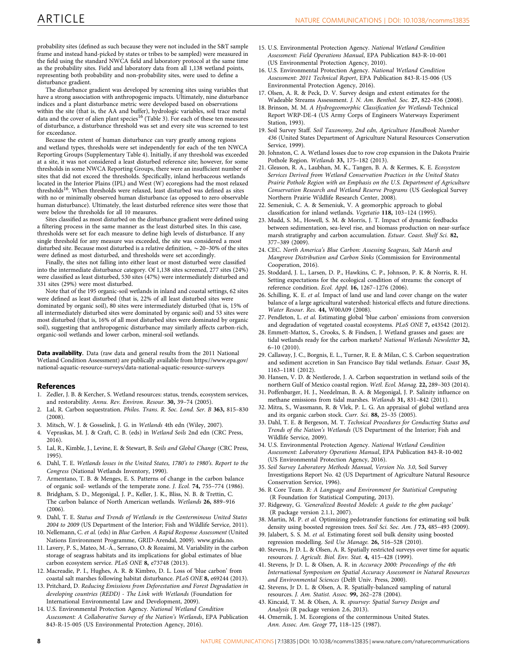<span id="page-7-0"></span>probability sites (defined as such because they were not included in the S&T sample frame and instead hand-picked by states or tribes to be sampled) were measured in the field using the standard NWCA field and laboratory protocol at the same time as the probability sites. Field and laboratory data from all 1,138 wetland points, representing both probability and non-probability sites, were used to define a disturbance gradient.

The disturbance gradient was developed by screening sites using variables that have a strong association with anthropogenic impacts. Ultimately, nine disturbance indices and a plant disturbance metric were developed based on observations within the site (that is, the AA and buffer), hydrologic variables, soil trace metal data and the cover of alien plant species<sup>16</sup> [\(Table 3](#page-5-0)). For each of these ten measures of disturbance, a disturbance threshold was set and every site was screened to test for exceedance.

Because the extent of human disturbance can vary greatly among regions and wetland types, thresholds were set independently for each of the ten NWCA Reporting Groups (Supplementary Table 4). Initially, if any threshold was exceeded at a site, it was not considered a least disturbed reference site; however, for some thresholds in some NWCA Reporting Groups, there were an insufficient number of sites that did not exceed the thresholds. Specifically, inland herbaceous wetlands located in the Interior Plains (IPL) and West (W) ecoregions had the most relaxed thresholds<sup>16</sup>. When thresholds were relaxed, least disturbed was defined as sites with no or minimally observed human disturbance (as opposed to zero observable human disturbance). Ultimately, the least disturbed reference sites were those that were below the thresholds for all 10 measures.

Sites classified as most disturbed on the disturbance gradient were defined using a filtering process in the same manner as the least disturbed sites. In this case, thresholds were set for each measure to define high levels of disturbance. If any single threshold for any measure was exceeded, the site was considered a most disturbed site. Because most disturbed is a relative definition,  $\sim$  20–30% of the sites were defined as most disturbed, and thresholds were set accordingly.

Finally, the sites not falling into either least or most disturbed were classified into the intermediate disturbance category. Of 1,138 sites screened, 277 sites (24%) were classified as least disturbed, 530 sites (47%) were intermediately disturbed and 331 sites (29%) were most disturbed.

Note that of the 195 organic-soil wetlands in inland and coastal settings, 62 sites were defined as least disturbed (that is, 22% of all least disturbed sites were dominated by organic soil), 80 sites were intermediately disturbed (that is, 15% of all intermediately disturbed sites were dominated by organic soil) and 53 sites were most disturbed (that is, 16% of all most disturbed sites were dominated by organic soil), suggesting that anthropogenic disturbance may similarly affects carbon-rich, organic-soil wetlands and lower carbon, mineral-soil wetlands.

Data availability. Data (raw data and general results from the 2011 National Wetland Condition Assessment) are publically available from https://www.epa.gov/ national-aquatic-resource-surveys/data-national-aquatic-resource-surveys

#### References

- Zedler, J. B. & Kercher, S. Wetland resources: status, trends, ecosystem services, and restorability. Annu. Rev. Environ. Resour. 30, 39–74 (2005).
- 2. Lal, R. Carbon sequestration. Philos. Trans. R. Soc. Lond. Ser. B 363, 815–830  $(2008)$
- 3. Mitsch, W. J. & Gosselink, J. G. in Wetlands 4th edn (Wiley, 2007).
- 4. Vepraskas, M. J. & Craft, C. B. (eds) in Wetland Soils 2nd edn (CRC Press, 2016).
- 5. Lal, R., Kimble, J., Levine, E. & Stewart, B. Soils and Global Change (CRC Press, 1995).
- 6. Dahl, T. E. Wetlands losses in the United States, 1780's to 1980's. Report to the Congress (National Wetlands Inventory, 1990).
- 7. Armentano, T. B. & Menges, E. S. Patterns of change in the carbon balance of organic soil- wetlands of the temperate zone. J. Ecol. 74, 755–774 (1986).
- 8. Bridgham, S. D., Megonigal, J. P., Keller, J. K., Bliss, N. B. & Trettin, C. The carbon balance of North American wetlands. Wetlands 26, 889–916  $(2006)$
- 9. Dahl, T. E. Status and Trends of Wetlands in the Conterminous United States 2004 to 2009 (US Department of the Interior; Fish and Wildlife Service, 2011).
- 10. Nellemann, C. et al. (eds) in Blue Carbon. A Rapid Response Assessment (United Nations Environment Programme, GRID-Arendal, 2009). www.grida.no.
- 11. Lavery, P. S., Mateo, M.-A´., Serrano, O. & Rozaimi, M. Variability in the carbon storage of seagrass habitats and its implications for global estimates of blue carbon ecosystem service. PLoS ONE 8, e73748 (2013).
- 12. Macreadie, P. I., Hughes, A. R. & Kimbro, D. L. Loss of 'blue carbon' from coastal salt marshes following habitat disturbance. PLoS ONE 8, e69244 (2013).
- 13. Pritchard, D. Reducing Emissions from Deforestation and Forest Degradation in developing countries (REDD) - The Link with Wetlands (Foundation for International Environmental Law and Development, 2009).
- 14. U.S. Environmental Protection Agency. National Wetland Condition Assessment: A Collaborative Survey of the Nation's Wetlands, EPA Publication 843-R-15-005 (US Environmental Protection Agency, 2016).
- 15. U.S. Environmental Protection Agency. National Wetland Condition Assessment: Field Operations Manual, EPA Publication 843-R-10-001 (US Environmental Protection Agency, 2010).
- 16. U.S. Environmental Protection Agency. National Wetland Condition Assessment: 2011 Technical Report, EPA Publication 843-R-15-006 (US Environmental Protection Agency, 2016).
- 17. Olsen, A. R. & Peck, D. V. Survey design and extent estimates for the Wadeable Streams Assessment. J. N. Am. Benthol. Soc. 27, 822–836 (2008).
- 18. Brinson, M. M. A Hydrogeomorphic Classification for Wetlands Technical Report WRP-DE-4 (US Army Corps of Engineers Waterways Experiment Station, 1993).
- 19. Soil Survey Staff. Soil Taxonomy, 2nd edn, Agriculture Handbook Number 436 (United States Department of Agriculture Natural Resources Conservation Service, 1999).
- 20. Johnston, C. A. Wetland losses due to row crop expansion in the Dakota Prairie Pothole Region. Wetlands 33, 175–182 (2013).
- 21. Gleason, R. A., Laubhan, M. K., Tangen, B. A. & Kermes, K. E. Ecosystem Services Derived from Wetland Conservation Practices in the United States Prairie Pothole Region with an Emphasis on the U.S. Department of Agriculture Conservation Research and Wetland Reserve Programs (US Geological Survey Northern Prairie Wildlife Research Center, 2008).
- 22. Semeniuk, C. A. & Semeniuk, V. A geomorphic approach to global classification for inland wetlands. Vegetatio 118, 103–124 (1995).
- 23. Mudd, S. M., Howell, S. M. & Morris, J. T. Impact of dynamic feedbacks between sedimentation, sea-level rise, and biomass production on near-surface marsh stratigraphy and carbon accumulation. Estuar. Coast. Shelf Sci. 82, 377–389 (2009).
- 24. CEC. North America's Blue Carbon: Assessing Seagrass, Salt Marsh and Mangrove Distribution and Carbon Sinks (Commission for Environmental Cooperation, 2016).
- 25. Stoddard, J. L., Larsen, D. P., Hawkins, C. P., Johnson, P. K. & Norris, R. H. Setting expectations for the ecological condition of streams: the concept of reference condition. Ecol. Appl. 16, 1267–1276 (2006).
- 26. Schilling, K. E. et al. Impact of land use and land cover change on the water balance of a large agricultural watershed: historical effects and future directions. Water Resour. Res. 44, W00A09 (2008).
- 27. Pendleton, L. et al. Estimating global 'blue carbon' emissions from conversion and degradation of vegetated coastal ecosystems. PLoS ONE 7, e43542 (2012).
- 28. Emmett-Mattox, S., Crooks, S. & Findsen, J. Wetland grasses and gases: are tidal wetlands ready for the carbon markets? National Wetlands Newsletter 32, 6–10 (2010).
- 29. Callaway, J. C., Borgnis, E. L., Turner, R. E. & Milan, C. S. Carbon sequestration and sediment accretion in San Francisco Bay tidal wetlands. Estuar. Coast 35, 1163–1181 (2012).
- 30. Hansen, V. D. & Nestlerode, J. A. Carbon sequestration in wetland soils of the northern Gulf of Mexico coastal region. Wetl. Ecol. Manag. 22, 289–303 (2014).
- 31. Poffenbarger, H. J., Needelman, B. A. & Megonigal, J. P. Salinity influence on methane emissions from tidal marshes. Wetlands 31, 831–842 (2011).
- 32. Mitra, S., Wassmann, R. & Vlek, P. L. G. An appraisal of global wetland area and its organic carbon stock. Curr. Sci. 88, 25–35 (2005).
- 33. Dahl, T. E. & Bergeson, M. T. Technical Procedures for Conducting Status and Trends of the Nation's Wetlands (US Department of the Interior; Fish and Wildlife Service, 2009).
- 34. U.S. Environmental Protection Agency. National Wetland Condition Assessment: Laboratory Operations Manual, EPA Publication 843-R-10-002 (US Environmental Protection Agency, 2016).
- 35. Soil Survey Laboratory Methods Manual, Version No. 3.0, Soil Survey Investigations Report No. 42 (US Department of Agriculture Natural Resource Conservation Service, 1996).
- 36. R Core Team. R: A Language and Environment for Statistical Computing (R Foundation for Statistical Computing, 2013).
- 37. Ridgeway, G. 'Generalized Boosted Models: A guide to the gbm package' (R package version 2.1.1, 2007).
- 38. Martin, M. P. et al. Optimizing pedotransfer functions for estimating soil bulk density using boosted regression trees. Soil Sci. Soc. Am. J 73, 485-493 (2009).
- 39. Jalabert, S. S. M. et al. Estimating forest soil bulk density using boosted regression modelling. Soil Use Manage. 26, 516–528 (2010).
- 40. Stevens, Jr D. L. & Olsen, A. R. Spatially restricted surveys over time for aquatic resources. J. Agricult. Biol. Env. Stat. 4, 415–428 (1999).
- 41. Stevens, Jr D. L. & Olsen, A. R. in Accuracy 2000: Proceedings of the 4th International Symposium on Spatial Accuracy Assessment in Natural Resources and Environmental Sciences (Delft Univ. Press, 2000).
- 42. Stevens, Jr D. L. & Olsen, A. R. Spatially-balanced sampling of natural resources. J. Am. Statist. Assoc. 99, 262–278 (2004).
- 43. Kincaid, T. M. & Olsen, A. R. spsurvey: Spatial Survey Design and Analysis (R package version 2.6, 2013).
- 44. Omernik, J. M. Ecoregions of the conterminous United States. Ann. Assoc. Am. Geogr 77, 118–125 (1987).